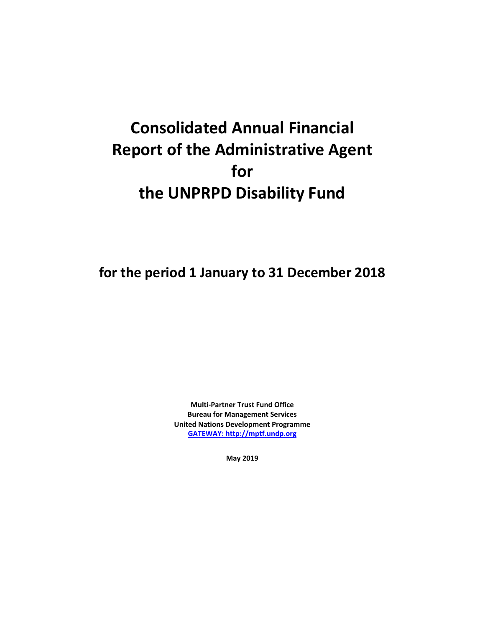# **Consolidated Annual Financial Report of the Administrative Agent for the UNPRPD Disability Fund**

**for the period 1 January to 31 December 2018**

**Multi-Partner Trust Fund Office Bureau for Management Services United Nations Development Programme [GATEWAY: http://mptf.undp.org](http://mptf.undp.org/)**

**May 2019**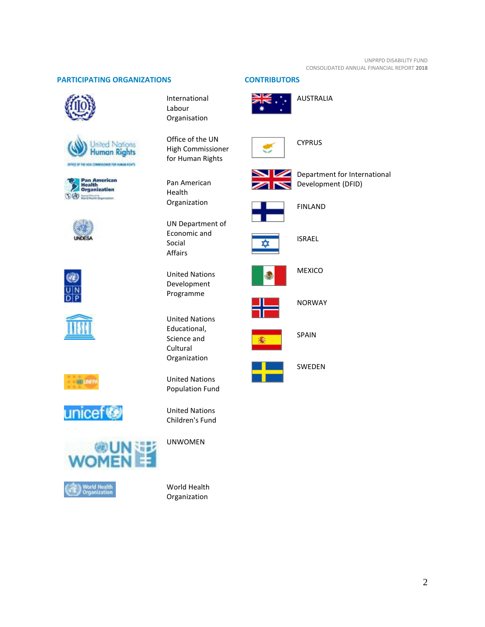# **PARTICIPATING ORGANIZATIONS CONTRIBUTORS**





















International Labour Organisation

Office of the UN High Commissioner for Human Rights

Pan American Health Organization

UN Department of Economic and Social Affairs

United Nations Development Programme

United Nations Educational, Science and Cultural Organization

United Nations Population Fund

United Nations Children's Fund

UNWOMEN

World Health Organization







**CYPRUS** 



Department for International Development (DFID)



FINLAND



ISRAEL



MEXICO



**NORWAY** 



SPAIN

SWEDEN

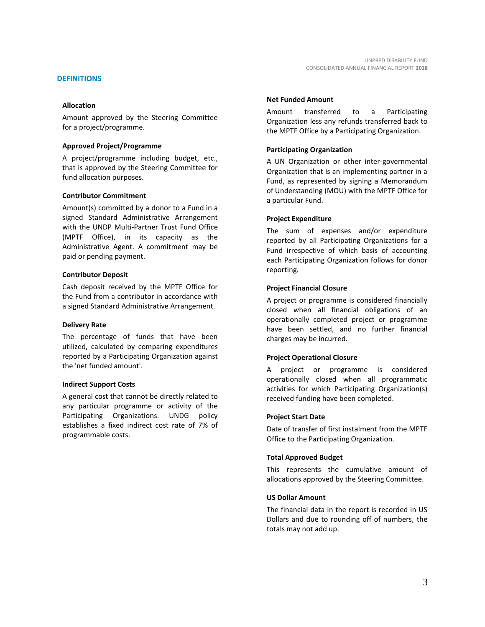# **DEFINITIONS**

# **Allocation**

Amount approved by the Steering Committee for a project/programme.

# **Approved Project/Programme**

A project/programme including budget, etc., that is approved by the Steering Committee for fund allocation purposes.

# **Contributor Commitment**

Amount(s) committed by a donor to a Fund in a signed Standard Administrative Arrangement with the UNDP Multi-Partner Trust Fund Office (MPTF Office), in its capacity as the Administrative Agent. A commitment may be paid or pending payment.

# **Contributor Deposit**

Cash deposit received by the MPTF Office for the Fund from a contributor in accordance with a signed Standard Administrative Arrangement.

#### **Delivery Rate**

The percentage of funds that have been utilized, calculated by comparing expenditures reported by a Participating Organization against the 'net funded amount'.

#### **Indirect Support Costs**

A general cost that cannot be directly related to any particular programme or activity of the Participating Organizations. UNDG policy establishes a fixed indirect cost rate of 7% of programmable costs.

#### **Net Funded Amount**

Amount transferred to a Participating Organization less any refunds transferred back to the MPTF Office by a Participating Organization.

# **Participating Organization**

A UN Organization or other inter-governmental Organization that is an implementing partner in a Fund, as represented by signing a Memorandum of Understanding (MOU) with the MPTF Office for a particular Fund.

# **Project Expenditure**

The sum of expenses and/or expenditure reported by all Participating Organizations for a Fund irrespective of which basis of accounting each Participating Organization follows for donor reporting.

# **Project Financial Closure**

A project or programme is considered financially closed when all financial obligations of an operationally completed project or programme have been settled, and no further financial charges may be incurred.

# **Project Operational Closure**

A project or programme is considered operationally closed when all programmatic activities for which Participating Organization(s) received funding have been completed.

#### **Project Start Date**

Date of transfer of first instalment from the MPTF Office to the Participating Organization.

# **Total Approved Budget**

This represents the cumulative amount of allocations approved by the Steering Committee.

#### **US Dollar Amount**

The financial data in the report is recorded in US Dollars and due to rounding off of numbers, the totals may not add up.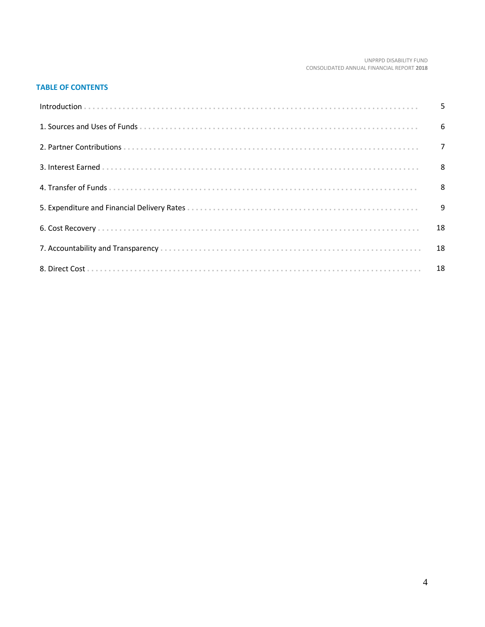#### UNPRPD DISABILITY FUND CONSOLIDATED ANNUAL FINANCIAL REPORT 2018

# **TABLE OF CONTENTS**

| 9 |
|---|
|   |
|   |
|   |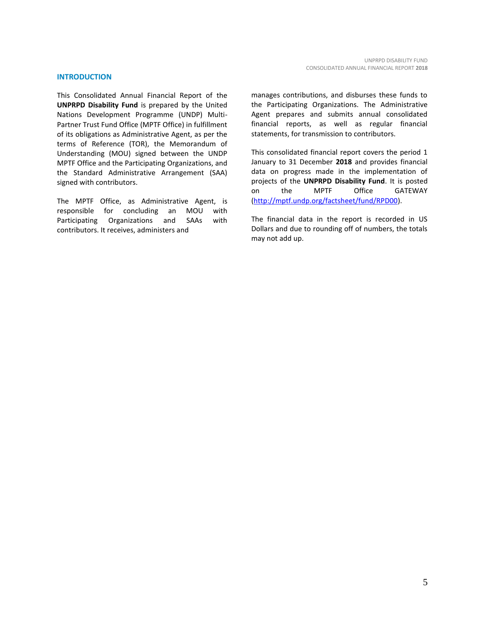#### **INTRODUCTION**

This Consolidated Annual Financial Report of the **UNPRPD Disability Fund** is prepared by the United Nations Development Programme (UNDP) Multi-Partner Trust Fund Office (MPTF Office) in fulfillment of its obligations as Administrative Agent, as per the terms of Reference (TOR), the Memorandum of Understanding (MOU) signed between the UNDP MPTF Office and the Participating Organizations, and the Standard Administrative Arrangement (SAA) signed with contributors.

The MPTF Office, as Administrative Agent, is responsible for concluding an MOU with Participating Organizations and SAAs with contributors. It receives, administers and

manages contributions, and disburses these funds to the Participating Organizations. The Administrative Agent prepares and submits annual consolidated financial reports, as well as regular financial statements, for transmission to contributors.

This consolidated financial report covers the period 1 January to 31 December **2018** and provides financial data on progress made in the implementation of projects of the **UNPRPD Disability Fund**. It is posted on the MPTF Office GATEWAY [\(http://mptf.undp.org/factsheet/fund/RPD00\)](http://mptf.undp.org/factsheet/fund/RPD00).

The financial data in the report is recorded in US Dollars and due to rounding off of numbers, the totals may not add up.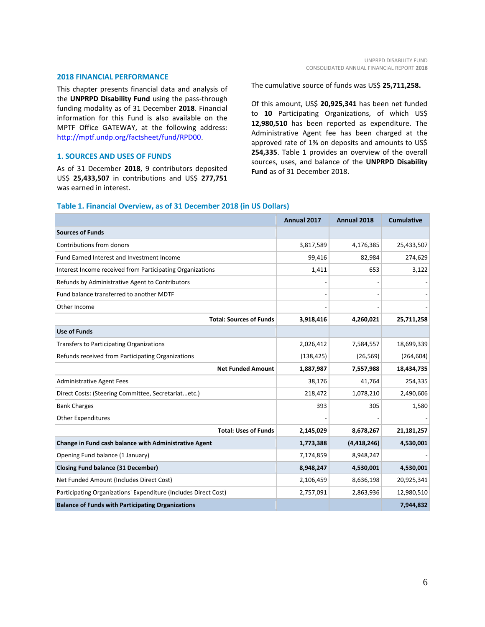#### **2018 FINANCIAL PERFORMANCE**

This chapter presents financial data and analysis of the **UNPRPD Disability Fund** using the pass-through funding modality as of 31 December **2018**. Financial information for this Fund is also available on the MPTF Office GATEWAY, at the following address: [http://mptf.undp.org/factsheet/fund/RPD00.](http://mptf.undp.org/factsheet/fund/RPD00)

# **1. SOURCES AND USES OF FUNDS**

As of 31 December **2018**, 9 contributors deposited US\$ **25,433,507** in contributions and US\$ **277,751** was earned in interest.

The cumulative source of funds was US\$ **25,711,258.**

Of this amount, US\$ **20,925,341** has been net funded to **10** Participating Organizations, of which US\$ **12,980,510** has been reported as expenditure. The Administrative Agent fee has been charged at the approved rate of 1% on deposits and amounts to US\$ **254,335**. Table 1 provides an overview of the overall sources, uses, and balance of the **UNPRPD Disability Fund** as of 31 December 2018.

# **Table 1. Financial Overview, as of 31 December 2018 (in US Dollars)**

|                                                                 | Annual 2017 | Annual 2018 | <b>Cumulative</b> |
|-----------------------------------------------------------------|-------------|-------------|-------------------|
| <b>Sources of Funds</b>                                         |             |             |                   |
| Contributions from donors                                       | 3,817,589   | 4,176,385   | 25,433,507        |
| Fund Earned Interest and Investment Income                      | 99,416      | 82,984      | 274,629           |
| Interest Income received from Participating Organizations       | 1,411       | 653         | 3,122             |
| Refunds by Administrative Agent to Contributors                 |             |             |                   |
| Fund balance transferred to another MDTF                        |             |             |                   |
| Other Income                                                    |             |             |                   |
| <b>Total: Sources of Funds</b>                                  | 3,918,416   | 4,260,021   | 25,711,258        |
| <b>Use of Funds</b>                                             |             |             |                   |
| <b>Transfers to Participating Organizations</b>                 | 2,026,412   | 7,584,557   | 18,699,339        |
| Refunds received from Participating Organizations               | (138, 425)  | (26, 569)   | (264, 604)        |
| <b>Net Funded Amount</b>                                        | 1,887,987   | 7,557,988   | 18,434,735        |
| <b>Administrative Agent Fees</b>                                | 38,176      | 41,764      | 254,335           |
| Direct Costs: (Steering Committee, Secretariatetc.)             | 218,472     | 1,078,210   | 2,490,606         |
| <b>Bank Charges</b>                                             | 393         | 305         | 1,580             |
| <b>Other Expenditures</b>                                       |             |             |                   |
| <b>Total: Uses of Funds</b>                                     | 2,145,029   | 8,678,267   | 21,181,257        |
| Change in Fund cash balance with Administrative Agent           | 1,773,388   | (4,418,246) | 4,530,001         |
| Opening Fund balance (1 January)                                | 7,174,859   | 8,948,247   |                   |
| <b>Closing Fund balance (31 December)</b>                       | 8,948,247   | 4,530,001   | 4,530,001         |
| Net Funded Amount (Includes Direct Cost)                        | 2,106,459   | 8,636,198   | 20,925,341        |
| Participating Organizations' Expenditure (Includes Direct Cost) | 2,757,091   | 2,863,936   | 12,980,510        |
| <b>Balance of Funds with Participating Organizations</b>        |             |             | 7,944,832         |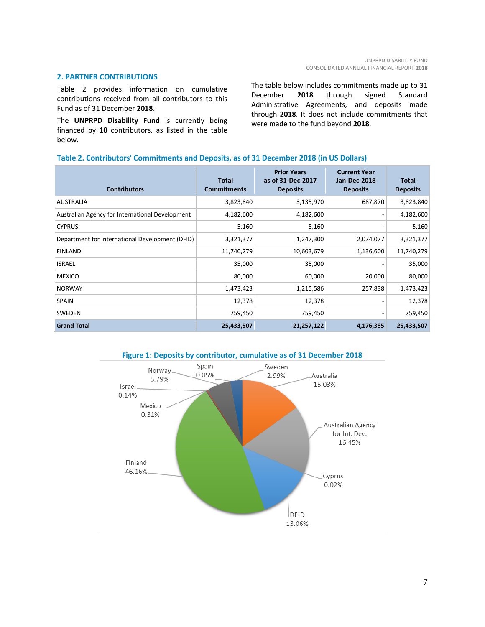# **2. PARTNER CONTRIBUTIONS**

Table 2 provides information on cumulative contributions received from all contributors to this Fund as of 31 December **2018**.

The **UNPRPD Disability Fund** is currently being financed by **10** contributors, as listed in the table below.

The table below includes commitments made up to 31 December **2018** through signed Standard Administrative Agreements, and deposits made through **2018**. It does not include commitments that were made to the fund beyond **2018**.

# **Table 2. Contributors' Commitments and Deposits, as of 31 December 2018 (in US Dollars)**

| <b>Contributors</b>                             | <b>Total</b><br><b>Commitments</b> | <b>Prior Years</b><br>as of 31-Dec-2017<br><b>Deposits</b> | <b>Current Year</b><br>Jan-Dec-2018<br><b>Deposits</b> | <b>Total</b><br><b>Deposits</b> |
|-------------------------------------------------|------------------------------------|------------------------------------------------------------|--------------------------------------------------------|---------------------------------|
| <b>AUSTRALIA</b>                                | 3,823,840                          | 3,135,970                                                  | 687,870                                                | 3,823,840                       |
| Australian Agency for International Development | 4,182,600                          | 4,182,600                                                  |                                                        | 4,182,600                       |
| <b>CYPRUS</b>                                   | 5,160                              | 5,160                                                      |                                                        | 5,160                           |
| Department for International Development (DFID) | 3,321,377                          | 1,247,300                                                  | 2,074,077                                              | 3,321,377                       |
| <b>FINLAND</b>                                  | 11,740,279                         | 10,603,679                                                 | 1,136,600                                              | 11,740,279                      |
| <b>ISRAEL</b>                                   | 35,000                             | 35,000                                                     |                                                        | 35,000                          |
| <b>MEXICO</b>                                   | 80,000                             | 60,000                                                     | 20,000                                                 | 80,000                          |
| <b>NORWAY</b>                                   | 1,473,423                          | 1,215,586                                                  | 257,838                                                | 1,473,423                       |
| <b>SPAIN</b>                                    | 12,378                             | 12,378                                                     |                                                        | 12,378                          |
| <b>SWEDEN</b>                                   | 759,450                            | 759,450                                                    |                                                        | 759,450                         |
| <b>Grand Total</b>                              | 25,433,507                         | 21,257,122                                                 | 4,176,385                                              | 25,433,507                      |

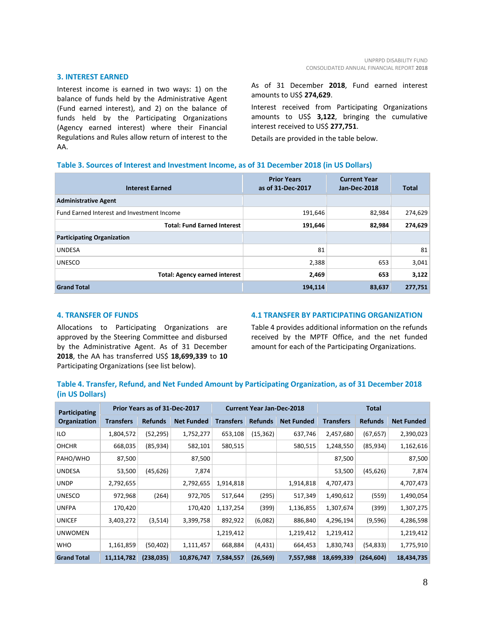#### **3. INTEREST EARNED**

Interest income is earned in two ways: 1) on the balance of funds held by the Administrative Agent (Fund earned interest), and 2) on the balance of funds held by the Participating Organizations (Agency earned interest) where their Financial Regulations and Rules allow return of interest to the AA.

As of 31 December **2018**, Fund earned interest amounts to US\$ **274,629**.

Interest received from Participating Organizations amounts to US\$ **3,122**, bringing the cumulative interest received to US\$ **277,751**.

Details are provided in the table below.

# **Table 3. Sources of Interest and Investment Income, as of 31 December 2018 (in US Dollars)**

| <b>Interest Earned</b>                            | <b>Prior Years</b><br>as of 31-Dec-2017 | <b>Current Year</b><br><b>Jan-Dec-2018</b> | <b>Total</b> |
|---------------------------------------------------|-----------------------------------------|--------------------------------------------|--------------|
| <b>Administrative Agent</b>                       |                                         |                                            |              |
| <b>Fund Earned Interest and Investment Income</b> | 191,646                                 | 82,984                                     | 274,629      |
| <b>Total: Fund Earned Interest</b>                | 191,646                                 | 82,984                                     | 274,629      |
| <b>Participating Organization</b>                 |                                         |                                            |              |
| <b>UNDESA</b>                                     | 81                                      |                                            | 81           |
| <b>UNESCO</b>                                     | 2,388                                   | 653                                        | 3,041        |
| <b>Total: Agency earned interest</b>              | 2,469                                   | 653                                        | 3,122        |
| <b>Grand Total</b>                                | 194,114                                 | 83,637                                     | 277,751      |

# **4. TRANSFER OF FUNDS**

Allocations to Participating Organizations are approved by the Steering Committee and disbursed by the Administrative Agent. As of 31 December **2018**, the AA has transferred US\$ **18,699,339** to **10** Participating Organizations (see list below).

# **4.1 TRANSFER BY PARTICIPATING ORGANIZATION**

Table 4 provides additional information on the refunds received by the MPTF Office, and the net funded amount for each of the Participating Organizations.

# **Table 4. Transfer, Refund, and Net Funded Amount by Participating Organization, as of 31 December 2018 (in US Dollars)**

| Participating      | Prior Years as of 31-Dec-2017 |                |                   |                  | <b>Current Year Jan-Dec-2018</b> |                   | Total            |                |                   |
|--------------------|-------------------------------|----------------|-------------------|------------------|----------------------------------|-------------------|------------------|----------------|-------------------|
| Organization       | <b>Transfers</b>              | <b>Refunds</b> | <b>Net Funded</b> | <b>Transfers</b> | <b>Refunds</b>                   | <b>Net Funded</b> | <b>Transfers</b> | <b>Refunds</b> | <b>Net Funded</b> |
| ILO                | 1,804,572                     | (52, 295)      | 1,752,277         | 653,108          | (15, 362)                        | 637,746           | 2,457,680        | (67, 657)      | 2,390,023         |
| <b>OHCHR</b>       | 668,035                       | (85, 934)      | 582,101           | 580,515          |                                  | 580,515           | 1,248,550        | (85, 934)      | 1,162,616         |
| PAHO/WHO           | 87,500                        |                | 87,500            |                  |                                  |                   | 87,500           |                | 87,500            |
| <b>UNDESA</b>      | 53,500                        | (45, 626)      | 7,874             |                  |                                  |                   | 53,500           | (45, 626)      | 7,874             |
| <b>UNDP</b>        | 2,792,655                     |                | 2,792,655         | 1,914,818        |                                  | 1,914,818         | 4,707,473        |                | 4,707,473         |
| <b>UNESCO</b>      | 972,968                       | (264)          | 972,705           | 517,644          | (295)                            | 517,349           | 1,490,612        | (559)          | 1,490,054         |
| <b>UNFPA</b>       | 170,420                       |                | 170,420           | 1,137,254        | (399)                            | 1,136,855         | 1,307,674        | (399)          | 1,307,275         |
| <b>UNICEF</b>      | 3,403,272                     | (3,514)        | 3,399,758         | 892,922          | (6,082)                          | 886,840           | 4,296,194        | (9,596)        | 4,286,598         |
| <b>UNWOMEN</b>     |                               |                |                   | 1,219,412        |                                  | 1,219,412         | 1,219,412        |                | 1,219,412         |
| <b>WHO</b>         | 1,161,859                     | (50, 402)      | 1,111,457         | 668,884          | (4, 431)                         | 664,453           | 1,830,743        | (54, 833)      | 1,775,910         |
| <b>Grand Total</b> | 11,114,782                    | (238, 035)     | 10,876,747        | 7,584,557        | (26, 569)                        | 7,557,988         | 18,699,339       | (264, 604)     | 18,434,735        |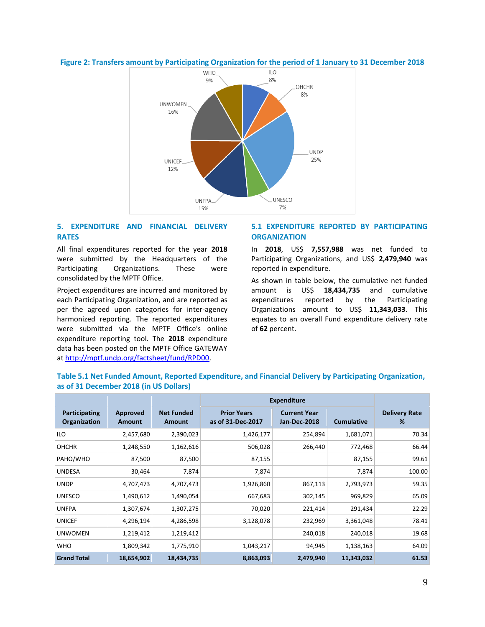



# **5. EXPENDITURE AND FINANCIAL DELIVERY RATES**

All final expenditures reported for the year **2018** were submitted by the Headquarters of the Participating Organizations. These were consolidated by the MPTF Office.

Project expenditures are incurred and monitored by each Participating Organization, and are reported as per the agreed upon categories for inter-agency harmonized reporting. The reported expenditures were submitted via the MPTF Office's online expenditure reporting tool. The **2018** expenditure data has been posted on the MPTF Office GATEWAY a[t http://mptf.undp.org/factsheet/fund/RPD00.](http://mptf.undp.org/factsheet/fund/RPD00) 

# **5.1 EXPENDITURE REPORTED BY PARTICIPATING ORGANIZATION**

In **2018**, US\$ **7,557,988** was net funded to Participating Organizations, and US\$ **2,479,940** was reported in expenditure.

As shown in table below, the cumulative net funded amount is US\$ **18,434,735** and cumulative expenditures reported by the Participating Organizations amount to US\$ **11,343,033**. This equates to an overall Fund expenditure delivery rate of **62** percent.

# **Table 5.1 Net Funded Amount, Reported Expenditure, and Financial Delivery by Participating Organization, as of 31 December 2018 (in US Dollars)**

|                                      |                           |                             | <b>Expenditure</b>                      |                                     |                   |                           |
|--------------------------------------|---------------------------|-----------------------------|-----------------------------------------|-------------------------------------|-------------------|---------------------------|
| <b>Participating</b><br>Organization | Approved<br><b>Amount</b> | <b>Net Funded</b><br>Amount | <b>Prior Years</b><br>as of 31-Dec-2017 | <b>Current Year</b><br>Jan-Dec-2018 | <b>Cumulative</b> | <b>Delivery Rate</b><br>% |
| ILO                                  | 2,457,680                 | 2,390,023                   | 1,426,177                               | 254,894                             | 1,681,071         | 70.34                     |
| <b>OHCHR</b>                         | 1,248,550                 | 1,162,616                   | 506,028                                 | 266,440                             | 772,468           | 66.44                     |
| PAHO/WHO                             | 87,500                    | 87,500                      | 87,155                                  |                                     | 87,155            | 99.61                     |
| <b>UNDESA</b>                        | 30,464                    | 7,874                       | 7,874                                   |                                     | 7,874             | 100.00                    |
| <b>UNDP</b>                          | 4,707,473                 | 4,707,473                   | 1,926,860                               | 867,113                             | 2,793,973         | 59.35                     |
| <b>UNESCO</b>                        | 1,490,612                 | 1,490,054                   | 667,683                                 | 302,145                             | 969,829           | 65.09                     |
| <b>UNFPA</b>                         | 1,307,674                 | 1,307,275                   | 70,020                                  | 221,414                             | 291,434           | 22.29                     |
| <b>UNICEF</b>                        | 4,296,194                 | 4,286,598                   | 3,128,078                               | 232,969                             | 3,361,048         | 78.41                     |
| <b>UNWOMEN</b>                       | 1,219,412                 | 1,219,412                   |                                         | 240,018                             | 240,018           | 19.68                     |
| <b>WHO</b>                           | 1,809,342                 | 1,775,910                   | 1,043,217                               | 94,945                              | 1,138,163         | 64.09                     |
| <b>Grand Total</b>                   | 18,654,902                | 18,434,735                  | 8,863,093                               | 2,479,940                           | 11,343,032        | 61.53                     |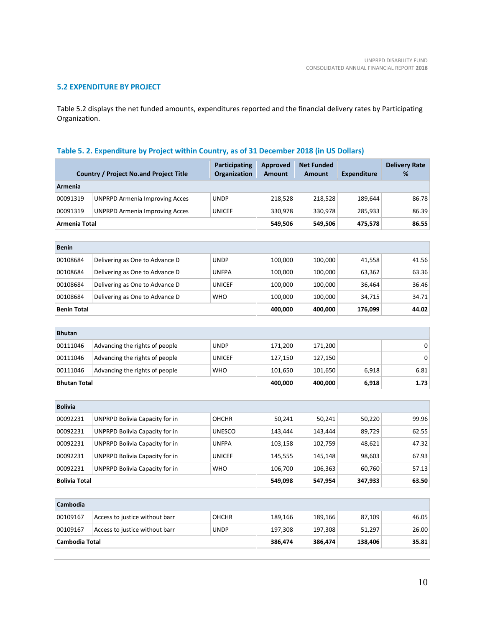# **5.2 EXPENDITURE BY PROJECT**

Table 5.2 displays the net funded amounts, expenditures reported and the financial delivery rates by Participating Organization.

# **Table 5. 2. Expenditure by Project within Country, as of 31 December 2018 (in US Dollars)**

|                      | <b>Country / Project No.and Project Title</b> | <b>Participating</b><br>Organization | <b>Approved</b><br><b>Amount</b> | <b>Net Funded</b><br><b>Amount</b> | <b>Expenditure</b> | <b>Delivery Rate</b><br>% |
|----------------------|-----------------------------------------------|--------------------------------------|----------------------------------|------------------------------------|--------------------|---------------------------|
| Armenia              |                                               |                                      |                                  |                                    |                    |                           |
| 00091319             | <b>UNPRPD Armenia Improving Acces</b>         | <b>UNDP</b>                          | 218,528                          | 218,528                            | 189,644            | 86.78                     |
| 00091319             | <b>UNPRPD Armenia Improving Acces</b>         | <b>UNICEF</b>                        | 330,978                          | 330,978                            | 285,933            | 86.39                     |
| Armenia Total        |                                               |                                      | 549,506                          | 549,506                            | 475,578            | 86.55                     |
|                      |                                               |                                      |                                  |                                    |                    |                           |
| <b>Benin</b>         |                                               |                                      |                                  |                                    |                    |                           |
| 00108684             | Delivering as One to Advance D                | <b>UNDP</b>                          | 100,000                          | 100,000                            | 41,558             | 41.56                     |
| 00108684             | Delivering as One to Advance D                | <b>UNFPA</b>                         | 100,000                          | 100,000                            | 63,362             | 63.36                     |
| 00108684             | Delivering as One to Advance D                | <b>UNICEF</b>                        | 100,000                          | 100,000                            | 36,464             | 36.46                     |
| 00108684             | Delivering as One to Advance D                | <b>WHO</b>                           | 100,000                          | 100,000                            | 34,715             | 34.71                     |
| <b>Benin Total</b>   |                                               |                                      | 400,000                          | 400,000                            | 176,099            | 44.02                     |
|                      |                                               |                                      |                                  |                                    |                    |                           |
| <b>Bhutan</b>        |                                               |                                      |                                  |                                    |                    |                           |
| 00111046             | Advancing the rights of people                | <b>UNDP</b>                          | 171,200                          | 171,200                            |                    | 0                         |
| 00111046             | Advancing the rights of people                | <b>UNICEF</b>                        | 127,150                          | 127,150                            |                    | 0                         |
| 00111046             | Advancing the rights of people                | <b>WHO</b>                           | 101,650                          | 101,650                            | 6,918              | 6.81                      |
| <b>Bhutan Total</b>  |                                               |                                      | 400,000                          | 400,000                            | 6,918              | 1.73                      |
|                      |                                               |                                      |                                  |                                    |                    |                           |
| <b>Bolivia</b>       |                                               |                                      |                                  |                                    |                    |                           |
| 00092231             | UNPRPD Bolivia Capacity for in                | <b>OHCHR</b>                         | 50,241                           | 50,241                             | 50,220             | 99.96                     |
| 00092231             | UNPRPD Bolivia Capacity for in                | <b>UNESCO</b>                        | 143,444                          | 143,444                            | 89,729             | 62.55                     |
| 00092231             | UNPRPD Bolivia Capacity for in                | <b>UNFPA</b>                         | 103,158                          | 102,759                            | 48,621             | 47.32                     |
| 00092231             | UNPRPD Bolivia Capacity for in                | <b>UNICEF</b>                        | 145,555                          | 145,148                            | 98,603             | 67.93                     |
| 00092231             | UNPRPD Bolivia Capacity for in                | <b>WHO</b>                           | 106,700                          | 106,363                            | 60,760             | 57.13                     |
| <b>Bolivia Total</b> |                                               |                                      | 549,098                          | 547,954                            | 347,933            | 63.50                     |
|                      |                                               |                                      |                                  |                                    |                    |                           |
| Cambodia             |                                               |                                      |                                  |                                    |                    |                           |
| 00109167             | Access to justice without barr                | <b>OHCHR</b>                         | 189,166                          | 189,166                            | 87,109             | 46.05                     |
| 00109167             | Access to justice without barr                | <b>UNDP</b>                          | 197,308                          | 197,308                            | 51,297             | 26.00                     |
| Cambodia Total       |                                               |                                      | 386,474                          | 386,474                            | 138,406            | 35.81                     |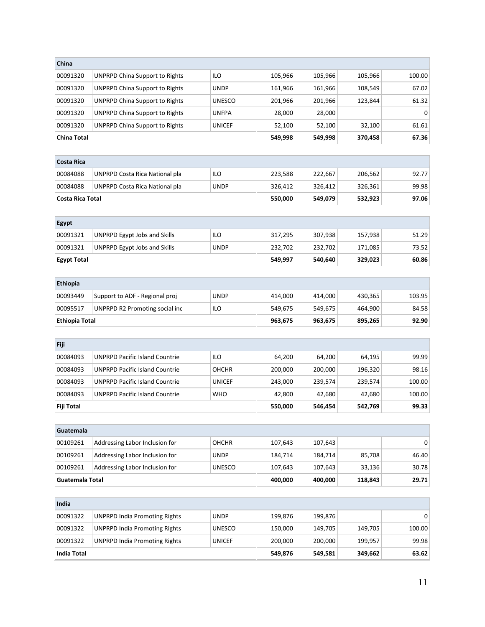| China                   |                                       |               |         |         |         |           |
|-------------------------|---------------------------------------|---------------|---------|---------|---------|-----------|
| 00091320                | <b>UNPRPD China Support to Rights</b> | ILO           | 105,966 | 105,966 | 105,966 | 100.00    |
| 00091320                | <b>UNPRPD China Support to Rights</b> | <b>UNDP</b>   | 161,966 | 161,966 | 108,549 | 67.02     |
| 00091320                | <b>UNPRPD China Support to Rights</b> | <b>UNESCO</b> | 201,966 | 201,966 | 123,844 | 61.32     |
| 00091320                | <b>UNPRPD China Support to Rights</b> | <b>UNFPA</b>  | 28,000  | 28,000  |         | $\pmb{0}$ |
| 00091320                | <b>UNPRPD China Support to Rights</b> | <b>UNICEF</b> | 52,100  | 52,100  | 32,100  | 61.61     |
| <b>China Total</b>      |                                       |               | 549,998 | 549,998 | 370,458 | 67.36     |
|                         |                                       |               |         |         |         |           |
| <b>Costa Rica</b>       |                                       |               |         |         |         |           |
| 00084088                | UNPRPD Costa Rica National pla        | ILO           | 223,588 | 222,667 | 206,562 | 92.77     |
| 00084088                | UNPRPD Costa Rica National pla        | <b>UNDP</b>   | 326,412 | 326,412 | 326,361 | 99.98     |
| <b>Costa Rica Total</b> |                                       |               | 550,000 | 549,079 | 532,923 | 97.06     |
|                         |                                       |               |         |         |         |           |
| Egypt                   |                                       |               |         |         |         |           |
| 00091321                | <b>UNPRPD Egypt Jobs and Skills</b>   | ILO           | 317,295 | 307,938 | 157,938 | 51.29     |
| 00091321                | <b>UNPRPD Egypt Jobs and Skills</b>   | <b>UNDP</b>   | 232,702 | 232,702 | 171,085 | 73.52     |
| <b>Egypt Total</b>      |                                       |               | 549,997 | 540,640 | 329,023 | 60.86     |
|                         |                                       |               |         |         |         |           |
| Ethiopia                |                                       |               |         |         |         |           |
| 00093449                | Support to ADF - Regional proj        | <b>UNDP</b>   | 414,000 | 414,000 | 430,365 | 103.95    |
| 00095517                | UNPRPD R2 Promoting social inc        | ILO           | 549,675 | 549,675 | 464,900 | 84.58     |
| <b>Ethiopia Total</b>   |                                       |               | 963,675 | 963,675 | 895,265 | 92.90     |
|                         |                                       |               |         |         |         |           |
| Fiji                    |                                       |               |         |         |         |           |
| 00084093                | <b>UNPRPD Pacific Island Countrie</b> | ILO           | 64,200  | 64,200  | 64,195  | 99.99     |
| 00084093                | <b>UNPRPD Pacific Island Countrie</b> | <b>OHCHR</b>  | 200,000 | 200,000 | 196,320 | 98.16     |
| 00084093                | <b>UNPRPD Pacific Island Countrie</b> | <b>UNICEF</b> | 243,000 | 239,574 | 239,574 | 100.00    |
| 00084093                | <b>UNPRPD Pacific Island Countrie</b> | <b>WHO</b>    | 42,800  | 42,680  | 42,680  | 100.00    |
| Fiji Total              |                                       |               | 550,000 | 546,454 | 542,769 | 99.33     |
| Guatemala               |                                       |               |         |         |         |           |
| 00109261                | Addressing Labor Inclusion for        | <b>OHCHR</b>  | 107,643 | 107,643 |         | 0         |
| 00109261                | Addressing Labor Inclusion for        | <b>UNDP</b>   | 184,714 | 184,714 | 85,708  | 46.40     |
| 00109261                | Addressing Labor Inclusion for        | <b>UNESCO</b> | 107,643 | 107,643 | 33,136  | 30.78     |
| Guatemala Total         |                                       |               | 400,000 | 400,000 | 118,843 | 29.71     |
|                         |                                       |               |         |         |         |           |
| India                   |                                       |               |         |         |         |           |
| 00091322                | <b>UNPRPD India Promoting Rights</b>  | <b>UNDP</b>   | 199,876 | 199,876 |         | 0         |
| 00091322                | <b>UNPRPD India Promoting Rights</b>  | <b>UNESCO</b> | 150,000 | 149,705 | 149,705 | 100.00    |
| 00091322                | <b>UNPRPD India Promoting Rights</b>  | <b>UNICEF</b> | 200,000 | 200,000 | 199,957 | 99.98     |
| <b>India Total</b>      |                                       |               | 549,876 | 549,581 | 349,662 | 63.62     |
|                         |                                       |               |         |         |         |           |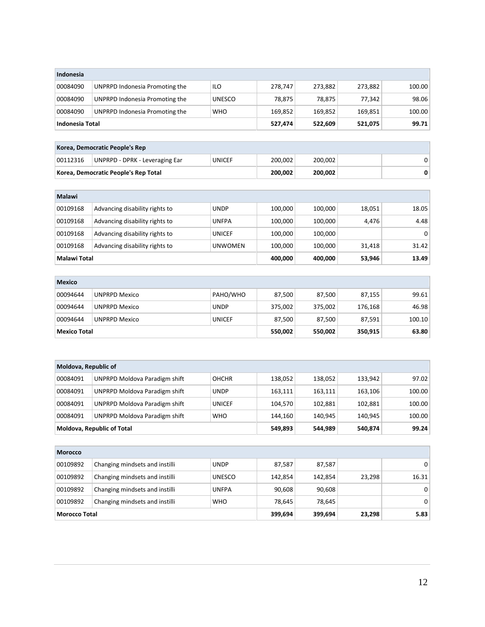| Indonesia            |                                       |                |         |         |         |        |
|----------------------|---------------------------------------|----------------|---------|---------|---------|--------|
| 00084090             | UNPRPD Indonesia Promoting the        | ILO            | 278,747 | 273,882 | 273,882 | 100.00 |
| 00084090             | UNPRPD Indonesia Promoting the        | <b>UNESCO</b>  | 78,875  | 78,875  | 77,342  | 98.06  |
| 00084090             | UNPRPD Indonesia Promoting the        | <b>WHO</b>     | 169,852 | 169,852 | 169,851 | 100.00 |
| Indonesia Total      |                                       |                | 527,474 | 522,609 | 521,075 | 99.71  |
|                      |                                       |                |         |         |         |        |
|                      | Korea, Democratic People's Rep        |                |         |         |         |        |
| 00112316             | <b>UNPRPD - DPRK - Leveraging Ear</b> | <b>UNICEF</b>  | 200,002 | 200,002 |         | 0      |
|                      | Korea, Democratic People's Rep Total  |                | 200,002 | 200,002 |         | 0      |
|                      |                                       |                |         |         |         |        |
| Malawi               |                                       |                |         |         |         |        |
| 00109168             | Advancing disability rights to        | <b>UNDP</b>    | 100,000 | 100,000 | 18,051  | 18.05  |
| 00109168             | Advancing disability rights to        | <b>UNFPA</b>   | 100,000 | 100,000 | 4,476   | 4.48   |
| 00109168             | Advancing disability rights to        | <b>UNICEF</b>  | 100,000 | 100,000 |         | 0      |
| 00109168             | Advancing disability rights to        | <b>UNWOMEN</b> | 100,000 | 100,000 | 31,418  | 31.42  |
| Malawi Total         |                                       |                | 400,000 | 400,000 | 53,946  | 13.49  |
|                      |                                       |                |         |         |         |        |
| <b>Mexico</b>        |                                       |                |         |         |         |        |
| 00094644             | <b>UNPRPD Mexico</b>                  | PAHO/WHO       | 87,500  | 87,500  | 87,155  | 99.61  |
| 00094644             | <b>UNPRPD Mexico</b>                  | <b>UNDP</b>    | 375,002 | 375,002 | 176,168 | 46.98  |
| 00094644             | <b>UNPRPD Mexico</b>                  | <b>UNICEF</b>  | 87,500  | 87,500  | 87,591  | 100.10 |
| <b>Mexico Total</b>  |                                       |                | 550,002 | 550,002 | 350,915 | 63.80  |
|                      |                                       |                |         |         |         |        |
|                      |                                       |                |         |         |         |        |
| Moldova, Republic of |                                       |                |         |         |         |        |
| 00084091             | <b>UNPRPD Moldova Paradigm shift</b>  | <b>OHCHR</b>   | 138,052 | 138,052 | 133,942 | 97.02  |
| 00084091             | <b>UNPRPD Moldova Paradigm shift</b>  | <b>UNDP</b>    | 163,111 | 163,111 | 163,106 | 100.00 |
| 00084091             | <b>UNPRPD Moldova Paradigm shift</b>  | <b>UNICEF</b>  | 104,570 | 102,881 | 102,881 | 100.00 |
| 00084091             | UNPRPD Moldova Paradigm shift         | <b>WHO</b>     | 144,160 | 140,945 | 140,945 | 100.00 |
|                      | Moldova, Republic of Total            |                | 549,893 | 544,989 | 540,874 | 99.24  |
| Morocco              |                                       |                |         |         |         |        |
| 00109892             | Changing mindsets and instilli        | <b>UNDP</b>    | 87,587  | 87,587  |         | 0      |
| 00109892             | Changing mindsets and instilli        | <b>UNESCO</b>  | 142,854 | 142,854 | 23,298  | 16.31  |
| 00109892             | Changing mindsets and instilli        | <b>UNFPA</b>   | 90,608  | 90,608  |         | 0      |
| 00109892             | Changing mindsets and instilli        | <b>WHO</b>     | 78,645  | 78,645  |         | 0      |
| <b>Morocco Total</b> |                                       |                | 399,694 |         | 23,298  | 5.83   |
|                      |                                       |                |         | 399,694 |         |        |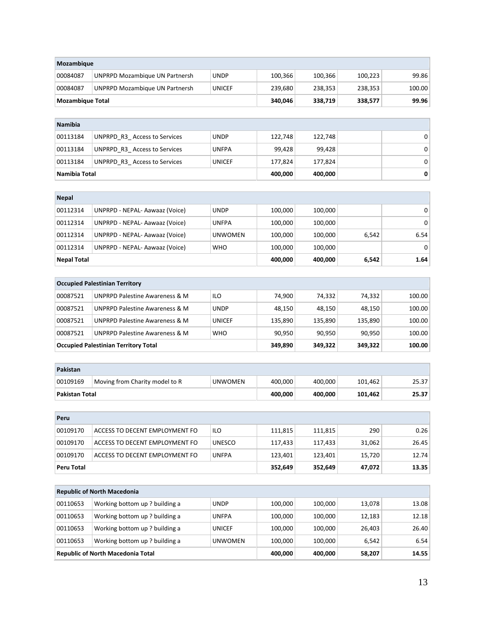| Mozambique              |                                                                |                             |                    |         |         |                |
|-------------------------|----------------------------------------------------------------|-----------------------------|--------------------|---------|---------|----------------|
| 00084087                | <b>UNPRPD Mozambique UN Partnersh</b>                          | <b>UNDP</b>                 | 100,366            | 100,366 | 100,223 | 99.86          |
| 00084087                | UNPRPD Mozambique UN Partnersh                                 | <b>UNICEF</b>               | 239,680            | 238,353 | 238,353 | 100.00         |
| <b>Mozambique Total</b> |                                                                |                             | 340,046            | 338,719 | 338,577 | 99.96          |
|                         |                                                                |                             |                    |         |         |                |
| <b>Namibia</b>          |                                                                |                             |                    |         |         |                |
| 00113184                | UNPRPD_R3_Access to Services                                   | <b>UNDP</b>                 | 122,748            | 122,748 |         | 0              |
| 00113184                | UNPRPD_R3_Access to Services                                   | <b>UNFPA</b>                | 99,428             | 99,428  |         | 0              |
| 00113184                | UNPRPD R3 Access to Services                                   | <b>UNICEF</b>               | 177,824            | 177,824 |         | 0              |
| Namibia Total           |                                                                |                             | 400,000            | 400,000 |         | 0              |
|                         |                                                                |                             |                    |         |         |                |
| <b>Nepal</b>            |                                                                |                             |                    |         |         |                |
| 00112314                | UNPRPD - NEPAL- Aawaaz (Voice)                                 | <b>UNDP</b>                 | 100,000            | 100,000 |         | 0              |
| 00112314                | UNPRPD - NEPAL- Aawaaz (Voice)                                 | <b>UNFPA</b>                | 100,000            | 100,000 |         | $\Omega$       |
| 00112314                | UNPRPD - NEPAL- Aawaaz (Voice)                                 | <b>UNWOMEN</b>              | 100,000            | 100,000 | 6,542   | 6.54           |
| 00112314                | UNPRPD - NEPAL- Aawaaz (Voice)                                 | <b>WHO</b>                  | 100,000            | 100,000 |         | 0              |
| <b>Nepal Total</b>      |                                                                |                             | 400,000            | 400,000 | 6,542   | 1.64           |
|                         |                                                                |                             |                    |         |         |                |
|                         | <b>Occupied Palestinian Territory</b>                          |                             |                    |         |         |                |
| 00087521                | <b>UNPRPD Palestine Awareness &amp; M</b>                      | ILO                         | 74,900             | 74,332  | 74,332  | 100.00         |
| 00087521                | UNPRPD Palestine Awareness & M                                 | <b>UNDP</b>                 | 48,150             | 48,150  | 48,150  | 100.00         |
| 00087521                | UNPRPD Palestine Awareness & M                                 | <b>UNICEF</b>               | 135,890            | 135,890 | 135,890 | 100.00         |
| 00087521                | UNPRPD Palestine Awareness & M                                 | <b>WHO</b>                  | 90,950             | 90,950  | 90,950  | 100.00         |
|                         | <b>Occupied Palestinian Territory Total</b>                    |                             | 349,890            | 349,322 | 349,322 | 100.00         |
|                         |                                                                |                             |                    |         |         |                |
| Pakistan                |                                                                |                             |                    |         |         |                |
| 00109169                | Moving from Charity model to R                                 | <b>UNWOMEN</b>              | 400,000            | 400,000 | 101,462 | 25.37          |
| Pakistan Total          |                                                                |                             | 400,000            | 400,000 | 101,462 | 25.37          |
|                         |                                                                |                             |                    |         |         |                |
| Peru                    |                                                                |                             |                    |         |         |                |
| 00109170                | ACCESS TO DECENT EMPLOYMENT FO                                 | ILO                         | 111,815            | 111,815 | 290     | 0.26           |
| 00109170                | ACCESS TO DECENT EMPLOYMENT FO                                 | <b>UNESCO</b>               | 117,433            | 117,433 | 31,062  | 26.45          |
| 00109170                | ACCESS TO DECENT EMPLOYMENT FO                                 | <b>UNFPA</b>                | 123,401            | 123,401 | 15,720  | 12.74          |
| Peru Total              |                                                                |                             | 352,649            | 352,649 | 47,072  | 13.35          |
|                         | <b>Republic of North Macedonia</b>                             |                             |                    |         |         |                |
|                         |                                                                |                             |                    | 100,000 | 13,078  |                |
| 00110653<br>00110653    | Working bottom up? building a<br>Working bottom up? building a | <b>UNDP</b><br><b>UNFPA</b> | 100,000<br>100,000 | 100,000 | 12,183  | 13.08<br>12.18 |
| 00110653                | Working bottom up? building a                                  | <b>UNICEF</b>               | 100,000            | 100,000 | 26,403  | 26.40          |
| 00110653                | Working bottom up? building a                                  | <b>UNWOMEN</b>              | 100,000            | 100,000 | 6,542   | 6.54           |
|                         | Republic of North Macedonia Total                              |                             | 400,000            | 400,000 | 58,207  | 14.55          |
|                         |                                                                |                             |                    |         |         |                |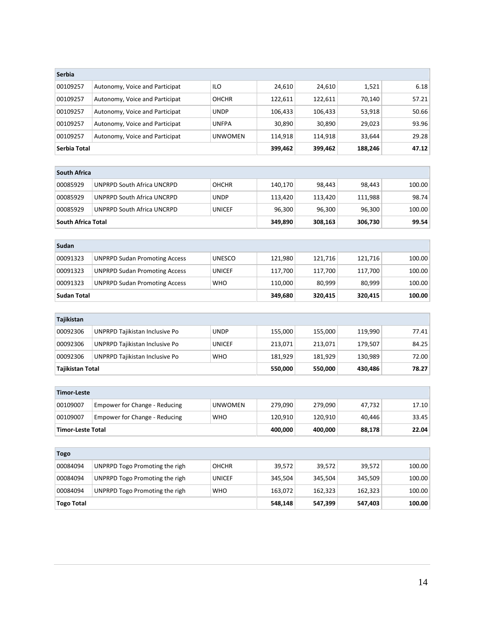| <b>Serbia</b> |                                |                |         |         |        |       |
|---------------|--------------------------------|----------------|---------|---------|--------|-------|
| 00109257      | Autonomy, Voice and Participat | <b>ILO</b>     | 24,610  | 24,610  | 1,521  | 6.18  |
| 00109257      | Autonomy, Voice and Participat | <b>OHCHR</b>   | 122,611 | 122,611 | 70,140 | 57.21 |
| 00109257      | Autonomy, Voice and Participat | <b>UNDP</b>    | 106,433 | 106.433 | 53,918 | 50.66 |
| 00109257      | Autonomy, Voice and Participat | <b>UNFPA</b>   | 30,890  | 30,890  | 29,023 | 93.96 |
| 00109257      | Autonomy, Voice and Participat | <b>UNWOMEN</b> | 114,918 | 114.918 | 33,644 | 29.28 |
| Serbia Total  |                                | 399,462        | 399,462 | 188,246 | 47.12  |       |
|               |                                |                |         |         |        |       |
| South Africa  |                                |                |         |         |        |       |

| South Africa Total |                            |              | 349,890 | 308,163 | 306,730 | 99.54  |
|--------------------|----------------------------|--------------|---------|---------|---------|--------|
| 00085929           | UNPRPD South Africa UNCRPD | UNICEF       | 96,300  | 96,300  | 96,300  | 100.00 |
| 00085929           | UNPRPD South Africa UNCRPD | <b>UNDP</b>  | 113,420 | 113,420 | 111.988 | 98.74  |
| 00085929           | UNPRPD South Africa UNCRPD | <b>OHCHR</b> | 140.170 | 98,443  | 98,443  | 100.00 |
| JUULII AII ILA     |                            |              |         |         |         |        |

| Sudan       |                                      |               |         |         |         |        |  |  |
|-------------|--------------------------------------|---------------|---------|---------|---------|--------|--|--|
| 00091323    | <b>UNPRPD Sudan Promoting Access</b> | <b>UNESCO</b> | 121,980 | 121,716 | 121,716 | 100.00 |  |  |
| 00091323    | <b>UNPRPD Sudan Promoting Access</b> | <b>UNICEF</b> | 117.700 | 117.700 | 117,700 | 100.00 |  |  |
| 00091323    | <b>UNPRPD Sudan Promoting Access</b> | <b>WHO</b>    | 110.000 | 80.999  | 80.999  | 100.00 |  |  |
| Sudan Total |                                      |               | 349,680 | 320,415 | 320,415 | 100.00 |  |  |

| Tajikistan |                                                            |               |         |         |         |       |  |
|------------|------------------------------------------------------------|---------------|---------|---------|---------|-------|--|
| 00092306   | UNPRPD Tajikistan Inclusive Po                             | <b>UNDP</b>   | 155,000 | 155.000 | 119.990 | 77.41 |  |
| 00092306   | UNPRPD Tajikistan Inclusive Po                             | <b>UNICEF</b> | 213.071 | 213.071 | 179.507 | 84.25 |  |
| 00092306   | UNPRPD Tajikistan Inclusive Po                             | <b>WHO</b>    | 181.929 | 181.929 | 130.989 | 72.00 |  |
|            | 78.27<br>Tajikistan Total<br>550.000<br>550,000<br>430,486 |               |         |         |         |       |  |

| Timor-Leste |                                                                   |                |         |         |        |       |
|-------------|-------------------------------------------------------------------|----------------|---------|---------|--------|-------|
| 00109007    | Empower for Change - Reducing                                     | <b>UNWOMEN</b> | 279.090 | 279.090 | 47.732 | 17.10 |
| 00109007    | Empower for Change - Reducing                                     | <b>WHO</b>     | 120.910 | 120.910 | 40.446 | 33.45 |
|             | 88,178<br>22.04<br>400,000<br>400.000<br><b>Timor-Leste Total</b> |                |         |         |        |       |

| Togo              |                                |               |         |         |         |        |  |
|-------------------|--------------------------------|---------------|---------|---------|---------|--------|--|
| 00084094          | UNPRPD Togo Promoting the righ | <b>OHCHR</b>  | 39,572  | 39,572  | 39,572  | 100.00 |  |
| 00084094          | UNPRPD Togo Promoting the righ | <b>UNICEF</b> | 345.504 | 345,504 | 345,509 | 100.00 |  |
| 00084094          | UNPRPD Togo Promoting the righ | <b>WHO</b>    | 163,072 | 162,323 | 162,323 | 100.00 |  |
| <b>Togo Total</b> |                                | 548,148       | 547,399 | 547,403 | 100.00  |        |  |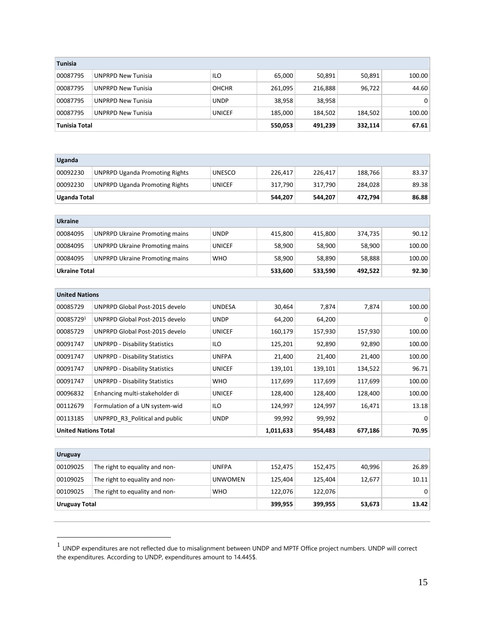| <b>Tunisia</b> |                           |               |         |         |         |        |  |
|----------------|---------------------------|---------------|---------|---------|---------|--------|--|
| 00087795       | <b>UNPRPD New Tunisia</b> | <b>ILO</b>    | 65,000  | 50,891  | 50,891  | 100.00 |  |
| 00087795       | <b>UNPRPD New Tunisia</b> | <b>OHCHR</b>  | 261,095 | 216,888 | 96,722  | 44.60  |  |
| 00087795       | <b>UNPRPD New Tunisia</b> | <b>UNDP</b>   | 38,958  | 38,958  |         | 0      |  |
| 00087795       | <b>UNPRPD New Tunisia</b> | <b>UNICEF</b> | 185,000 | 184.502 | 184,502 | 100.00 |  |
| Tunisia Total  |                           |               | 550,053 | 491,239 | 332,114 | 67.61  |  |

| Uganda                      |                                       |               |           |         |         |             |
|-----------------------------|---------------------------------------|---------------|-----------|---------|---------|-------------|
| 00092230                    | <b>UNPRPD Uganda Promoting Rights</b> | <b>UNESCO</b> | 226,417   | 226,417 | 188,766 | 83.37       |
| 00092230                    | <b>UNPRPD Uganda Promoting Rights</b> | <b>UNICEF</b> | 317,790   | 317,790 | 284,028 | 89.38       |
| <b>Uganda Total</b>         |                                       |               | 544,207   | 544,207 | 472,794 | 86.88       |
|                             |                                       |               |           |         |         |             |
| <b>Ukraine</b>              |                                       |               |           |         |         |             |
| 00084095                    | <b>UNPRPD Ukraine Promoting mains</b> | <b>UNDP</b>   | 415,800   | 415,800 | 374,735 | 90.12       |
| 00084095                    | <b>UNPRPD Ukraine Promoting mains</b> | <b>UNICEF</b> | 58,900    | 58,900  | 58,900  | 100.00      |
| 00084095                    | <b>UNPRPD Ukraine Promoting mains</b> | <b>WHO</b>    | 58,900    | 58,890  | 58,888  | 100.00      |
| <b>Ukraine Total</b>        |                                       |               | 533,600   | 533,590 | 492,522 | 92.30       |
|                             |                                       |               |           |         |         |             |
| <b>United Nations</b>       |                                       |               |           |         |         |             |
| 00085729                    | UNPRPD Global Post-2015 develo        | <b>UNDESA</b> | 30,464    | 7,874   | 7,874   | 100.00      |
| 000857291                   | UNPRPD Global Post-2015 develo        | <b>UNDP</b>   | 64,200    | 64,200  |         | $\Omega$    |
| 00085729                    | UNPRPD Global Post-2015 develo        | <b>UNICEF</b> | 160,179   | 157,930 | 157,930 | 100.00      |
| 00091747                    | <b>UNPRPD - Disability Statistics</b> | <b>ILO</b>    | 125,201   | 92,890  | 92,890  | 100.00      |
| 00091747                    | <b>UNPRPD - Disability Statistics</b> | <b>UNFPA</b>  | 21,400    | 21,400  | 21,400  | 100.00      |
| 00091747                    | <b>UNPRPD - Disability Statistics</b> | <b>UNICEF</b> | 139,101   | 139,101 | 134,522 | 96.71       |
| 00091747                    | <b>UNPRPD - Disability Statistics</b> | <b>WHO</b>    | 117,699   | 117,699 | 117,699 | 100.00      |
| 00096832                    | Enhancing multi-stakeholder di        | <b>UNICEF</b> | 128,400   | 128,400 | 128,400 | 100.00      |
| 00112679                    | Formulation of a UN system-wid        | <b>ILO</b>    | 124,997   | 124,997 | 16,471  | 13.18       |
| 00113185                    | UNPRPD R3 Political and public        | <b>UNDP</b>   | 99,992    | 99,992  |         | $\mathbf 0$ |
| <b>United Nations Total</b> |                                       |               | 1,011,633 | 954,483 | 677,186 | 70.95       |

| <b>Uruguay</b>                                         |                                |                |         |         |        |       |  |
|--------------------------------------------------------|--------------------------------|----------------|---------|---------|--------|-------|--|
| 00109025                                               | The right to equality and non- | <b>UNFPA</b>   | 152,475 | 152,475 | 40,996 | 26.89 |  |
| 00109025                                               | The right to equality and non- | <b>UNWOMEN</b> | 125,404 | 125,404 | 12,677 | 10.11 |  |
| 00109025                                               | The right to equality and non- | <b>WHO</b>     | 122,076 | 122,076 |        | 0     |  |
| 399,955<br>53,673<br>13.42<br>399,955<br>Uruguay Total |                                |                |         |         |        |       |  |

 $<sup>1</sup>$  UNDP expenditures are not reflected due to misalignment between UNDP and MPTF Office project numbers. UNDP will correct</sup> the expenditures. According to UNDP, expenditures amount to 14.445\$.

 $\overline{a}$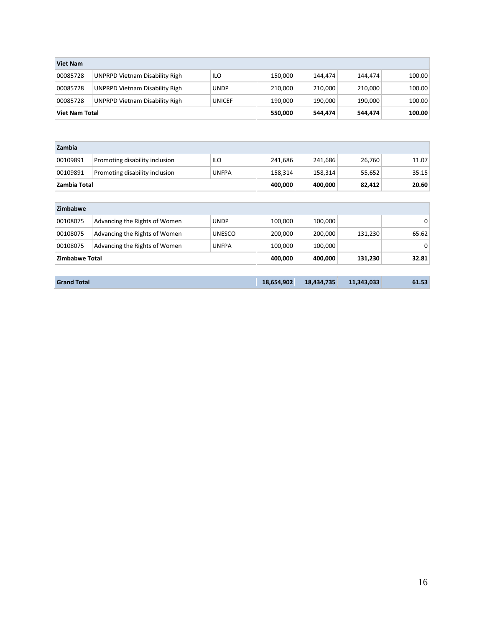| <b>Viet Nam</b> |                                       |             |         |         |         |        |  |
|-----------------|---------------------------------------|-------------|---------|---------|---------|--------|--|
| 00085728        | <b>UNPRPD Vietnam Disability Righ</b> | ILO         | 150,000 | 144.474 | 144,474 | 100.00 |  |
| 00085728        | <b>UNPRPD Vietnam Disability Righ</b> | <b>UNDP</b> | 210,000 | 210.000 | 210,000 | 100.00 |  |
| 00085728        | <b>UNPRPD Vietnam Disability Righ</b> | UNICEF      | 190,000 | 190.000 | 190,000 | 100.00 |  |
| Viet Nam Total  |                                       | 550,000     | 544,474 | 544,474 | 100.00  |        |  |

| Zambia       |                                |              |         |         |        |       |
|--------------|--------------------------------|--------------|---------|---------|--------|-------|
| 00109891     | Promoting disability inclusion | ILO          | 241,686 | 241,686 | 26,760 | 11.07 |
| 00109891     | Promoting disability inclusion | <b>UNFPA</b> | 158,314 | 158,314 | 55,652 | 35.15 |
|              | Zambia Total                   |              |         | 400,000 | 82,412 | 20.60 |
|              |                                |              |         |         |        |       |
| $7$ imbohusa |                                |              |         |         |        |       |

| zimpapwe              |                               |               |         |         |         |          |
|-----------------------|-------------------------------|---------------|---------|---------|---------|----------|
| 00108075              | Advancing the Rights of Women | <b>UNDP</b>   | 100,000 | 100,000 |         | $\Omega$ |
| 00108075              | Advancing the Rights of Women | <b>UNESCO</b> | 200,000 | 200,000 | 131,230 | 65.62    |
| 00108075              | Advancing the Rights of Women | <b>UNFPA</b>  | 100,000 | 100,000 |         | $\Omega$ |
| <b>Zimbabwe Total</b> |                               |               | 400,000 | 400.000 | 131,230 | 32.81    |
|                       |                               |               |         |         |         |          |

| <b>Grand Total</b> | 18.654.902 | 18,434,735 | 11,343,033 | 61.53 |
|--------------------|------------|------------|------------|-------|
|                    |            |            |            |       |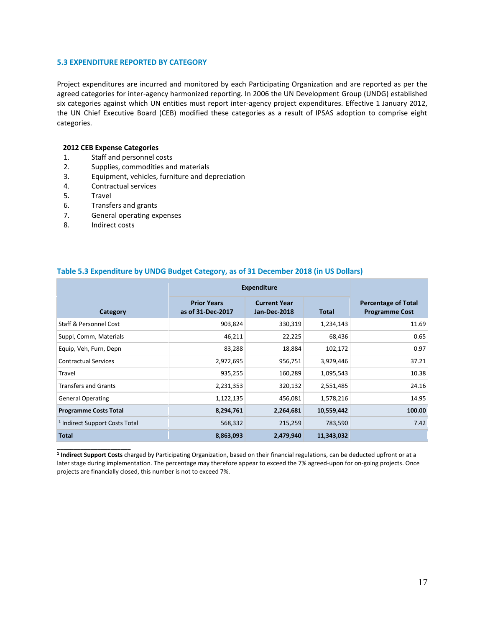### **5.3 EXPENDITURE REPORTED BY CATEGORY**

Project expenditures are incurred and monitored by each Participating Organization and are reported as per the agreed categories for inter-agency harmonized reporting. In 2006 the UN Development Group (UNDG) established six categories against which UN entities must report inter-agency project expenditures. Effective 1 January 2012, the UN Chief Executive Board (CEB) modified these categories as a result of IPSAS adoption to comprise eight categories.

# **2012 CEB Expense Categories**

- 1. Staff and personnel costs
- 2. Supplies, commodities and materials
- 3. Equipment, vehicles, furniture and depreciation
- 4. Contractual services<br>5. Travel
- **Travel**
- 6. Transfers and grants
- 7. General operating expenses
- 8. Indirect costs

\_\_\_\_\_\_\_\_\_\_\_\_\_\_\_\_\_\_\_\_\_\_

|                                           |                                         | <b>Expenditure</b>                  |              |                                                     |  |  |
|-------------------------------------------|-----------------------------------------|-------------------------------------|--------------|-----------------------------------------------------|--|--|
| Category                                  | <b>Prior Years</b><br>as of 31-Dec-2017 | <b>Current Year</b><br>Jan-Dec-2018 | <b>Total</b> | <b>Percentage of Total</b><br><b>Programme Cost</b> |  |  |
| Staff & Personnel Cost                    | 903,824                                 | 330,319                             | 1,234,143    | 11.69                                               |  |  |
| Suppl, Comm, Materials                    | 46,211                                  | 22,225                              | 68,436       | 0.65                                                |  |  |
| Equip, Veh, Furn, Depn                    | 83,288                                  | 18,884                              | 102,172      | 0.97                                                |  |  |
| <b>Contractual Services</b>               | 2,972,695                               | 956,751                             | 3,929,446    | 37.21                                               |  |  |
| Travel                                    | 935,255                                 | 160,289                             | 1,095,543    | 10.38                                               |  |  |
| <b>Transfers and Grants</b>               | 2,231,353                               | 320,132                             | 2,551,485    | 24.16                                               |  |  |
| <b>General Operating</b>                  | 1,122,135                               | 456,081                             | 1,578,216    | 14.95                                               |  |  |
| <b>Programme Costs Total</b>              | 8,294,761                               | 2,264,681                           | 10,559,442   | 100.00                                              |  |  |
| <sup>1</sup> Indirect Support Costs Total | 568,332                                 | 215,259                             | 783,590      | 7.42                                                |  |  |
| <b>Total</b>                              | 8,863,093                               | 2,479,940                           | 11,343,032   |                                                     |  |  |

# **Table 5.3 Expenditure by UNDG Budget Category, as of 31 December 2018 (in US Dollars)**

**1 Indirect Support Costs** charged by Participating Organization, based on their financial regulations, can be deducted upfront or at a later stage during implementation. The percentage may therefore appear to exceed the 7% agreed-upon for on-going projects. Once projects are financially closed, this number is not to exceed 7%.